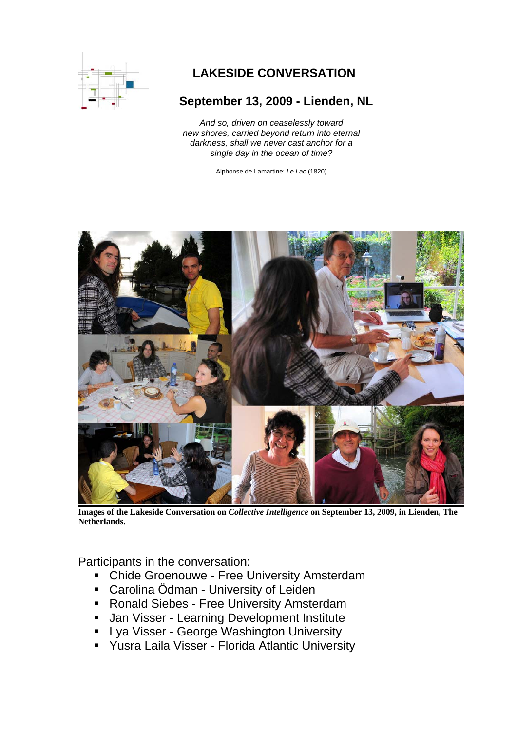

# **LAKESIDE CONVERSATION**

# **September 13, 2009 - Lienden, NL**

*And so, driven on ceaselessly toward new shores, carried beyond return into eternal darkness, shall we never cast anchor for a single day in the ocean of time?* 

Alphonse de Lamartine: *Le Lac* (1820)



**Images of the Lakeside Conversation on** *Collective Intelligence* **on September 13, 2009, in Lienden, The Netherlands.**

Participants in the conversation:

- **-** Chide Groenouwe Free University Amsterdam
- **EXEC** Carolina Ödman University of Leiden
- **Ronald Siebes Free University Amsterdam**
- **Jan Visser Learning Development Institute**
- **-** Lya Visser George Washington University
- Yusra Laila Visser Florida Atlantic University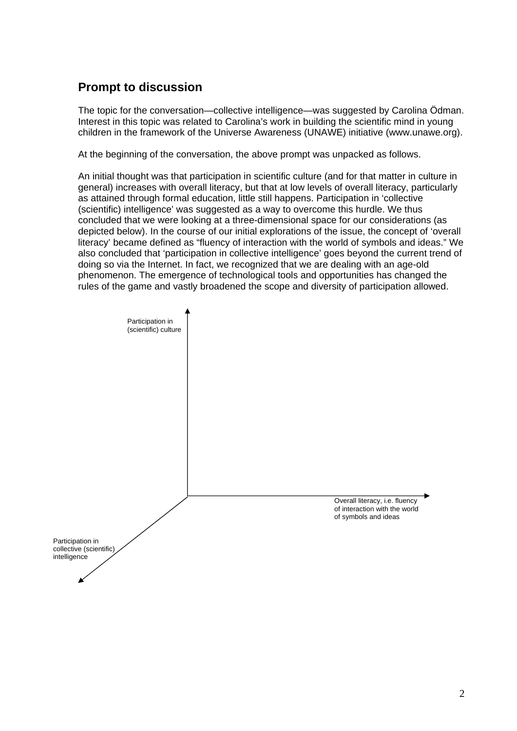# **Prompt to discussion**

The topic for the conversation—collective intelligence—was suggested by Carolina Ödman. Interest in this topic was related to Carolina's work in building the scientific mind in young children in the framework of the Universe Awareness (UNAWE) initiative (www.unawe.org).

At the beginning of the conversation, the above prompt was unpacked as follows.

An initial thought was that participation in scientific culture (and for that matter in culture in general) increases with overall literacy, but that at low levels of overall literacy, particularly as attained through formal education, little still happens. Participation in 'collective (scientific) intelligence' was suggested as a way to overcome this hurdle. We thus concluded that we were looking at a three-dimensional space for our considerations (as depicted below). In the course of our initial explorations of the issue, the concept of 'overall literacy' became defined as "fluency of interaction with the world of symbols and ideas." We also concluded that 'participation in collective intelligence' goes beyond the current trend of doing so via the Internet. In fact, we recognized that we are dealing with an age-old phenomenon. The emergence of technological tools and opportunities has changed the rules of the game and vastly broadened the scope and diversity of participation allowed.

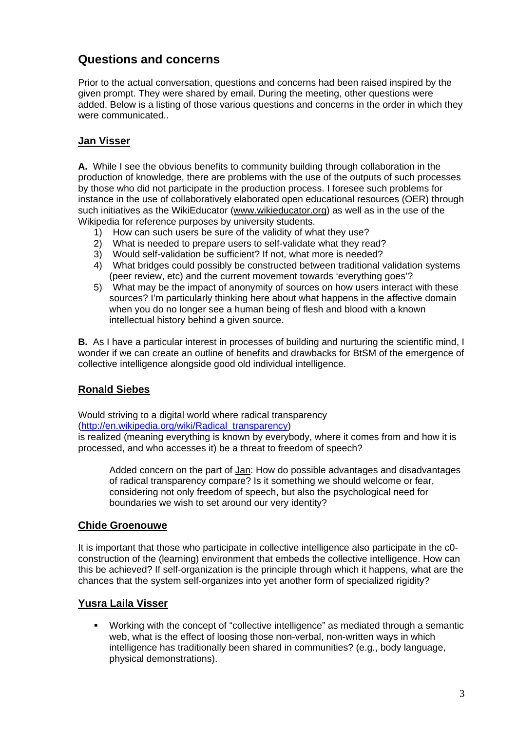## **Questions and concerns**

Prior to the actual conversation, questions and concerns had been raised inspired by the given prompt. They were shared by email. During the meeting, other questions were added. Below is a listing of those various questions and concerns in the order in which they were communicated..

### **Jan Visser**

**A.** While I see the obvious benefits to community building through collaboration in the production of knowledge, there are problems with the use of the outputs of such processes by those who did not participate in the production process. I foresee such problems for instance in the use of collaboratively elaborated open educational resources (OER) through such initiatives as the WikiEducator (www.wikieducator.org) as well as in the use of the Wikipedia for reference purposes by university students.

- 1) How can such users be sure of the validity of what they use?
- 2) What is needed to prepare users to self-validate what they read?
- 3) Would self-validation be sufficient? If not, what more is needed?
- 4) What bridges could possibly be constructed between traditional validation systems (peer review, etc) and the current movement towards 'everything goes'?
- 5) What may be the impact of anonymity of sources on how users interact with these sources? I'm particularly thinking here about what happens in the affective domain when you do no longer see a human being of flesh and blood with a known intellectual history behind a given source.

**B.** As I have a particular interest in processes of building and nurturing the scientific mind, I wonder if we can create an outline of benefits and drawbacks for BtSM of the emergence of collective intelligence alongside good old individual intelligence.

#### **Ronald Siebes**

Would striving to a digital world where radical transparency (http://en.wikipedia.org/wiki/Radical\_transparency)

is realized (meaning everything is known by everybody, where it comes from and how it is processed, and who accesses it) be a threat to freedom of speech?

Added concern on the part of Jan: How do possible advantages and disadvantages of radical transparency compare? Is it something we should welcome or fear, considering not only freedom of speech, but also the psychological need for boundaries we wish to set around our very identity?

#### **Chide Groenouwe**

It is important that those who participate in collective intelligence also participate in the c0 construction of the (learning) environment that embeds the collective intelligence. How can this be achieved? If self-organization is the principle through which it happens, what are the chances that the system self-organizes into yet another form of specialized rigidity?

#### **Yusra Laila Visser**

 Working with the concept of "collective intelligence" as mediated through a semantic web, what is the effect of loosing those non-verbal, non-written ways in which intelligence has traditionally been shared in communities? (e.g., body language, physical demonstrations).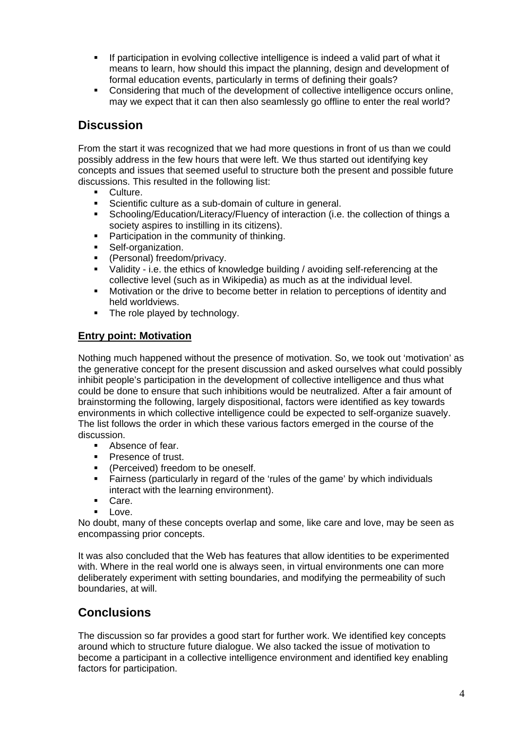- If participation in evolving collective intelligence is indeed a valid part of what it means to learn, how should this impact the planning, design and development of formal education events, particularly in terms of defining their goals?
- Considering that much of the development of collective intelligence occurs online, may we expect that it can then also seamlessly go offline to enter the real world?

### **Discussion**

From the start it was recognized that we had more questions in front of us than we could possibly address in the few hours that were left. We thus started out identifying key concepts and issues that seemed useful to structure both the present and possible future discussions. This resulted in the following list:

- Culture.
- Scientific culture as a sub-domain of culture in general.
- Schooling/Education/Literacy/Fluency of interaction (i.e. the collection of things a society aspires to instilling in its citizens).
- **Participation in the community of thinking.**
- **Self-organization.**
- (Personal) freedom/privacy.
- Validity i.e. the ethics of knowledge building / avoiding self-referencing at the collective level (such as in Wikipedia) as much as at the individual level.
- **Motivation or the drive to become better in relation to perceptions of identity and** held worldviews.
- The role played by technology.

#### **Entry point: Motivation**

Nothing much happened without the presence of motivation. So, we took out 'motivation' as the generative concept for the present discussion and asked ourselves what could possibly inhibit people's participation in the development of collective intelligence and thus what could be done to ensure that such inhibitions would be neutralized. After a fair amount of brainstorming the following, largely dispositional, factors were identified as key towards environments in which collective intelligence could be expected to self-organize suavely. The list follows the order in which these various factors emerged in the course of the discussion.

- Absence of fear.
- Presence of trust.
- (Perceived) freedom to be oneself.
- Fairness (particularly in regard of the 'rules of the game' by which individuals interact with the learning environment).
- Care.
- $\blacksquare$  Love.

No doubt, many of these concepts overlap and some, like care and love, may be seen as encompassing prior concepts.

It was also concluded that the Web has features that allow identities to be experimented with. Where in the real world one is always seen, in virtual environments one can more deliberately experiment with setting boundaries, and modifying the permeability of such boundaries, at will.

### **Conclusions**

The discussion so far provides a good start for further work. We identified key concepts around which to structure future dialogue. We also tacked the issue of motivation to become a participant in a collective intelligence environment and identified key enabling factors for participation.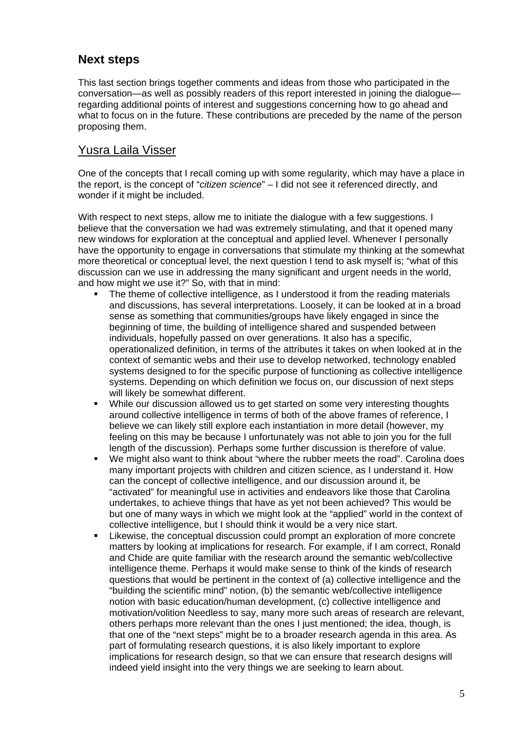### **Next steps**

This last section brings together comments and ideas from those who participated in the conversation—as well as possibly readers of this report interested in joining the dialogue regarding additional points of interest and suggestions concerning how to go ahead and what to focus on in the future. These contributions are preceded by the name of the person proposing them.

### Yusra Laila Visser

One of the concepts that I recall coming up with some regularity, which may have a place in the report, is the concept of "*citizen science*" – I did not see it referenced directly, and wonder if it might be included.

With respect to next steps, allow me to initiate the dialogue with a few suggestions. I believe that the conversation we had was extremely stimulating, and that it opened many new windows for exploration at the conceptual and applied level. Whenever I personally have the opportunity to engage in conversations that stimulate my thinking at the somewhat more theoretical or conceptual level, the next question I tend to ask myself is; "what of this discussion can we use in addressing the many significant and urgent needs in the world, and how might we use it?" So, with that in mind:

- The theme of collective intelligence, as I understood it from the reading materials and discussions, has several interpretations. Loosely, it can be looked at in a broad sense as something that communities/groups have likely engaged in since the beginning of time, the building of intelligence shared and suspended between individuals, hopefully passed on over generations. It also has a specific, operationalized definition, in terms of the attributes it takes on when looked at in the context of semantic webs and their use to develop networked, technology enabled systems designed to for the specific purpose of functioning as collective intelligence systems. Depending on which definition we focus on, our discussion of next steps will likely be somewhat different.
- While our discussion allowed us to get started on some very interesting thoughts around collective intelligence in terms of both of the above frames of reference, I believe we can likely still explore each instantiation in more detail (however, my feeling on this may be because I unfortunately was not able to join you for the full length of the discussion). Perhaps some further discussion is therefore of value.
- We might also want to think about "where the rubber meets the road". Carolina does many important projects with children and citizen science, as I understand it. How can the concept of collective intelligence, and our discussion around it, be "activated" for meaningful use in activities and endeavors like those that Carolina undertakes, to achieve things that have as yet not been achieved? This would be but one of many ways in which we might look at the "applied" world in the context of collective intelligence, but I should think it would be a very nice start.
- Likewise, the conceptual discussion could prompt an exploration of more concrete matters by looking at implications for research. For example, if I am correct, Ronald and Chide are quite familiar with the research around the semantic web/collective intelligence theme. Perhaps it would make sense to think of the kinds of research questions that would be pertinent in the context of (a) collective intelligence and the "building the scientific mind" notion, (b) the semantic web/collective intelligence notion with basic education/human development, (c) collective intelligence and motivation/volition Needless to say, many more such areas of research are relevant, others perhaps more relevant than the ones I just mentioned; the idea, though, is that one of the "next steps" might be to a broader research agenda in this area. As part of formulating research questions, it is also likely important to explore implications for research design, so that we can ensure that research designs will indeed yield insight into the very things we are seeking to learn about.